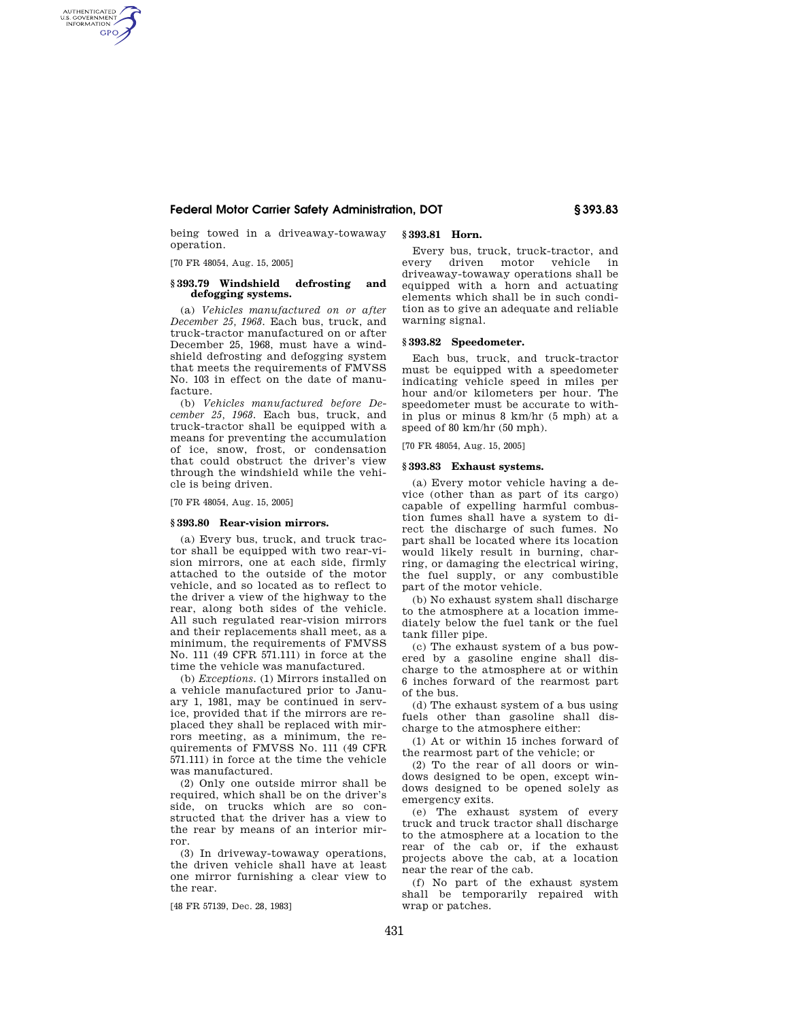## **Federal Motor Carrier Safety Administration, DOT § 393.83**

being towed in a driveaway-towaway operation.

[70 FR 48054, Aug. 15, 2005]

AUTHENTICATED<br>U.S. GOVERNMENT<br>INFORMATION **GPO** 

## **§ 393.79 Windshield defrosting and defogging systems.**

(a) *Vehicles manufactured on or after December 25, 1968.* Each bus, truck, and truck-tractor manufactured on or after December 25, 1968, must have a windshield defrosting and defogging system that meets the requirements of FMVSS No. 103 in effect on the date of manufacture.

(b) *Vehicles manufactured before December 25, 1968.* Each bus, truck, and truck-tractor shall be equipped with a means for preventing the accumulation of ice, snow, frost, or condensation that could obstruct the driver's view through the windshield while the vehicle is being driven.

[70 FR 48054, Aug. 15, 2005]

## **§ 393.80 Rear-vision mirrors.**

(a) Every bus, truck, and truck tractor shall be equipped with two rear-vision mirrors, one at each side, firmly attached to the outside of the motor vehicle, and so located as to reflect to the driver a view of the highway to the rear, along both sides of the vehicle. All such regulated rear-vision mirrors and their replacements shall meet, as a minimum, the requirements of FMVSS No. 111 (49 CFR 571.111) in force at the time the vehicle was manufactured.

(b) *Exceptions.* (1) Mirrors installed on a vehicle manufactured prior to January 1, 1981, may be continued in service, provided that if the mirrors are replaced they shall be replaced with mirrors meeting, as a minimum, the requirements of FMVSS No. 111 (49 CFR 571.111) in force at the time the vehicle was manufactured.

(2) Only one outside mirror shall be required, which shall be on the driver's side, on trucks which are so constructed that the driver has a view to the rear by means of an interior mirror.

(3) In driveway-towaway operations, the driven vehicle shall have at least one mirror furnishing a clear view to the rear.

[48 FR 57139, Dec. 28, 1983]

## **§ 393.81 Horn.**

Every bus, truck, truck-tractor, and every driven motor vehicle in driveaway-towaway operations shall be equipped with a horn and actuating elements which shall be in such condition as to give an adequate and reliable warning signal.

### **§ 393.82 Speedometer.**

Each bus, truck, and truck-tractor must be equipped with a speedometer indicating vehicle speed in miles per hour and/or kilometers per hour. The speedometer must be accurate to within plus or minus 8 km/hr (5 mph) at a speed of 80 km/hr (50 mph).

[70 FR 48054, Aug. 15, 2005]

## **§ 393.83 Exhaust systems.**

(a) Every motor vehicle having a device (other than as part of its cargo) capable of expelling harmful combustion fumes shall have a system to direct the discharge of such fumes. No part shall be located where its location would likely result in burning, charring, or damaging the electrical wiring, the fuel supply, or any combustible part of the motor vehicle.

(b) No exhaust system shall discharge to the atmosphere at a location immediately below the fuel tank or the fuel tank filler pipe.

(c) The exhaust system of a bus powered by a gasoline engine shall discharge to the atmosphere at or within 6 inches forward of the rearmost part of the bus.

(d) The exhaust system of a bus using fuels other than gasoline shall discharge to the atmosphere either:

(1) At or within 15 inches forward of the rearmost part of the vehicle; or

(2) To the rear of all doors or windows designed to be open, except windows designed to be opened solely as emergency exits.

(e) The exhaust system of every truck and truck tractor shall discharge to the atmosphere at a location to the rear of the cab or, if the exhaust projects above the cab, at a location near the rear of the cab.

(f) No part of the exhaust system shall be temporarily repaired with wrap or patches.